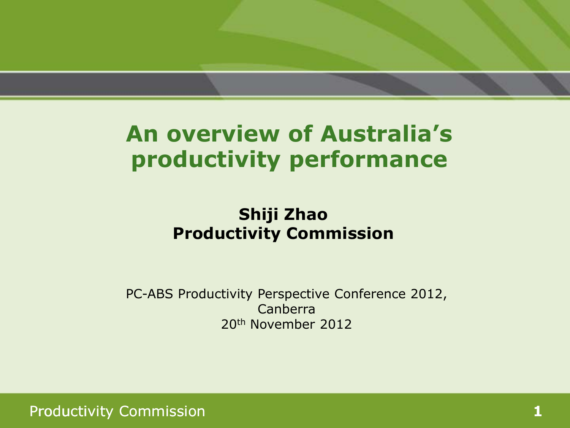### **An overview of Australia's productivity performance**

### **Shiji Zhao Productivity Commission**

PC-ABS Productivity Perspective Conference 2012, Canberra 20th November 2012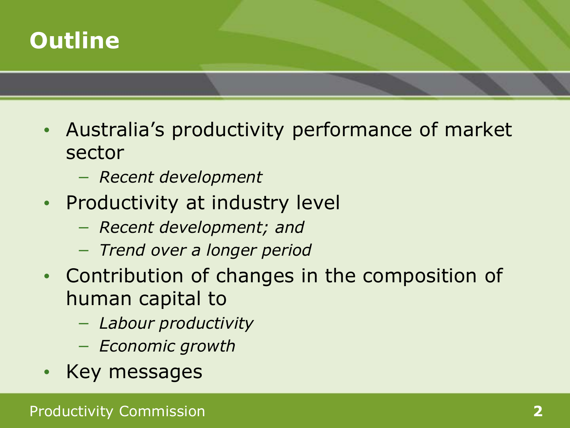

- Australia's productivity performance of market sector
	- − *Recent development*
- Productivity at industry level
	- − *Recent development; and*
	- − *Trend over a longer period*
- Contribution of changes in the composition of human capital to
	- − *Labour productivity*
	- − *Economic growth*
- Key messages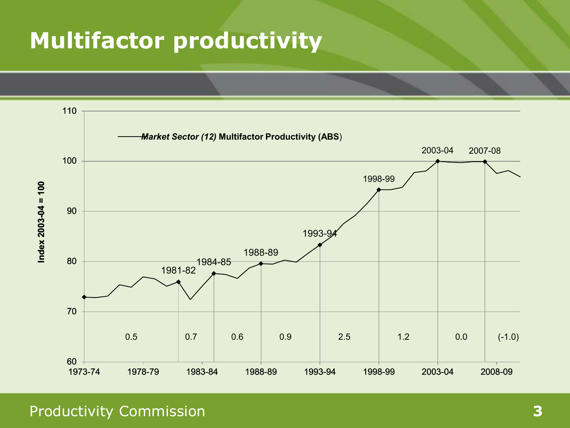## **Multifactor productivity**

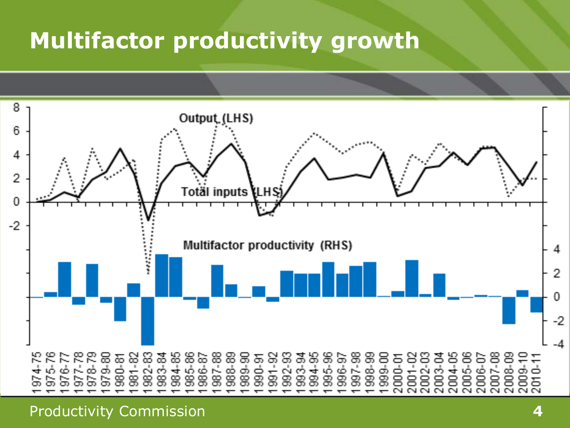## **Multifactor productivity growth**

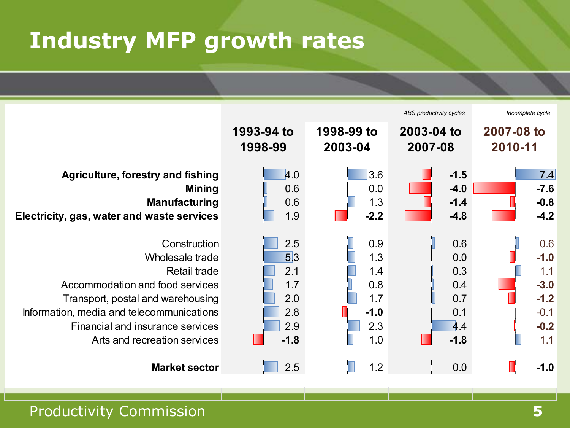# **Industry MFP growth rates**

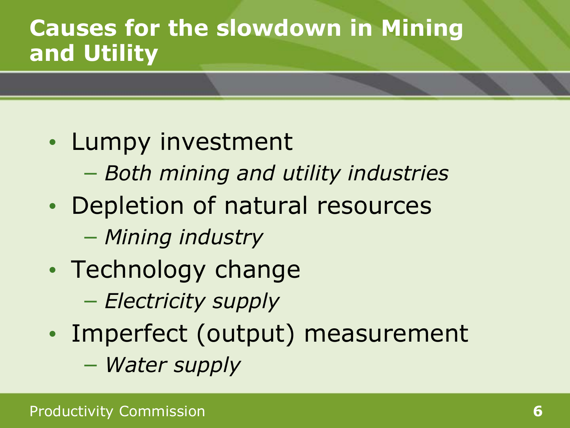## **Causes for the slowdown in Mining and Utility**

- Lumpy investment
	- − *Both mining and utility industries*
- Depletion of natural resources
	- − *Mining industry*
- Technology change
	- − *Electricity supply*
- Imperfect (output) measurement
	- − *Water supply*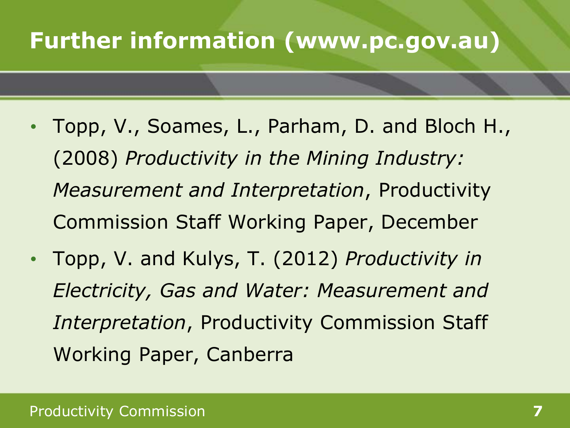## **Further information (www.pc.gov.au)**

- Topp, V., Soames, L., Parham, D. and Bloch H., (2008) *Productivity in the Mining Industry: Measurement and Interpretation*, Productivity Commission Staff Working Paper, December
- Topp, V. and Kulys, T. (2012) *Productivity in Electricity, Gas and Water: Measurement and Interpretation*, Productivity Commission Staff Working Paper, Canberra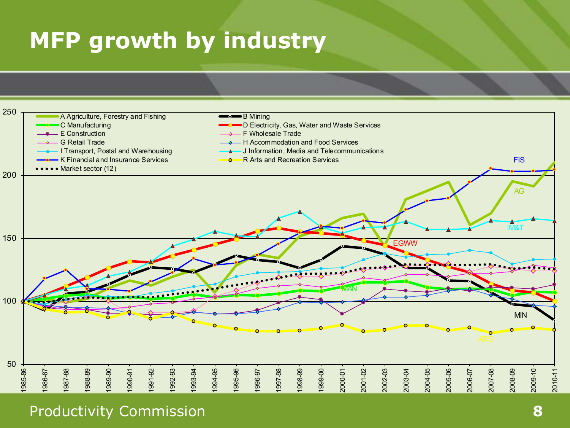# **MFP growth by industry**

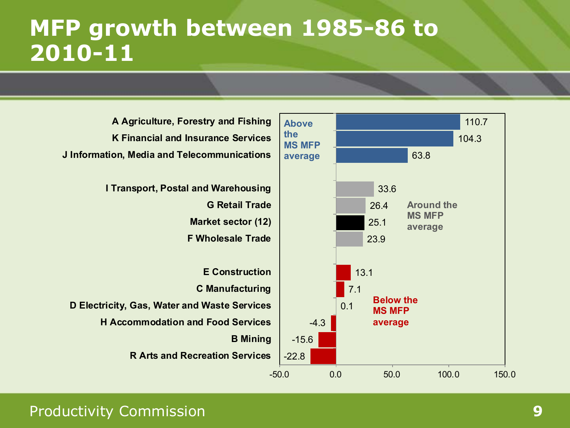### **MFP growth between 1985-86 to 2010-11**

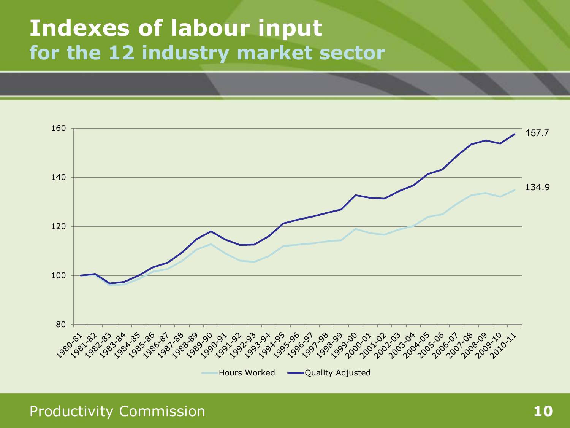### **Indexes of labour input for the 12 industry market sector**

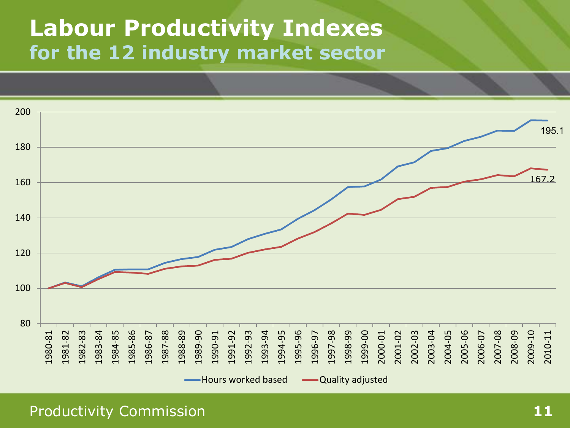### **Labour Productivity Indexes for the 12 industry market sector**

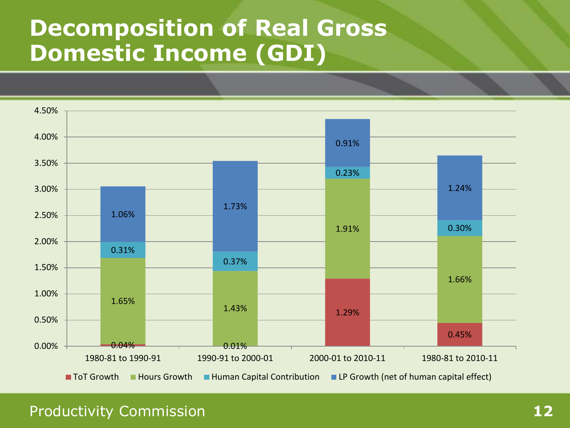## **Decomposition of Real Gross Domestic Income (GDI)**

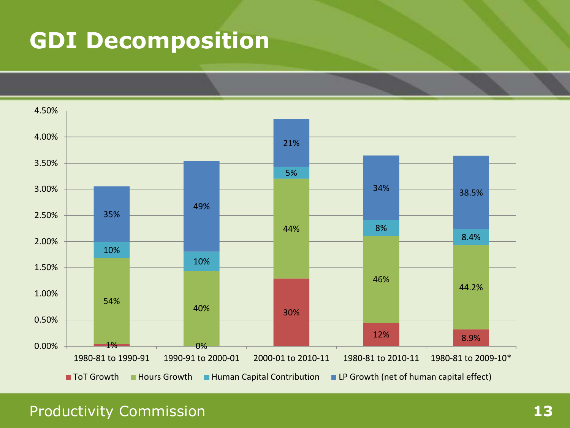# **GDI Decomposition**